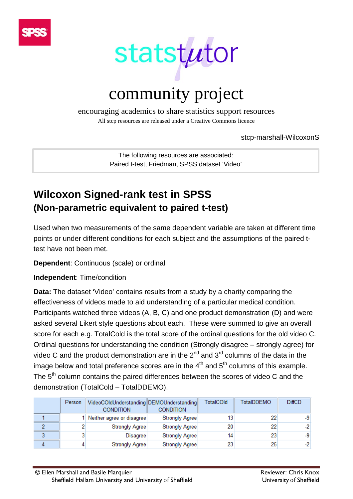



encouraging academics to share statistics support resources

All stcp resources are released under a Creative Commons licence

stcp-marshall-WilcoxonS

The following resources are associated: Paired t-test, Friedman, SPSS dataset 'Video'

# **Wilcoxon Signed-rank test in SPSS (Non-parametric equivalent to paired t-test)**

Used when two measurements of the same dependent variable are taken at different time points or under different conditions for each subject and the assumptions of the paired ttest have not been met.

**Dependent**: Continuous (scale) or ordinal

**Independent**: Time/condition

**Data:** The dataset 'Video' contains results from a study by a charity comparing the effectiveness of videos made to aid understanding of a particular medical condition. Participants watched three videos (A, B, C) and one product demonstration (D) and were asked several Likert style questions about each. These were summed to give an overall score for each e.g. TotalCold is the total score of the ordinal questions for the old video C. Ordinal questions for understanding the condition (Strongly disagree – strongly agree) for video C and the product demonstration are in the  $2^{nd}$  and  $3^{rd}$  columns of the data in the image below and total preference scores are in the  $4<sup>th</sup>$  and  $5<sup>th</sup>$  columns of this example. The 5<sup>th</sup> column contains the paired differences between the scores of video C and the demonstration (TotalCold – TotalDDEMO).

|   | Person | VideoCOldUnderstanding DEMOUnderstanding<br><b>CONDITION</b> | <b>CONDITION</b> | TotalCOld | <b>TotalDDEMO</b> | <b>DiffCD</b> |
|---|--------|--------------------------------------------------------------|------------------|-----------|-------------------|---------------|
|   |        | Neither agree or disagree                                    | Strongly Agree   |           | 22                | -91           |
|   |        | Strongly Agree                                               | Strongly Agree   | 20        | 22                | -21           |
|   |        | Disagree                                                     | Strongly Agree   | 14        | 23                | -91           |
| 4 |        | Strongly Agree                                               | Strongly Agree   | 23        | 25                | $-2$          |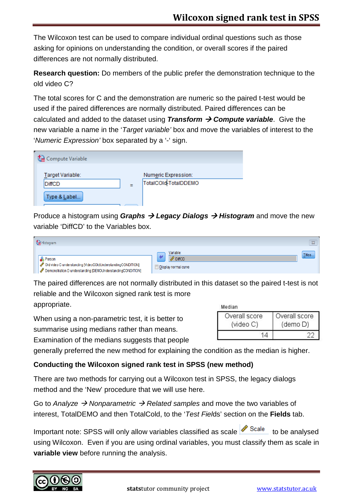The Wilcoxon test can be used to compare individual ordinal questions such as those asking for opinions on understanding the condition, or overall scores if the paired differences are not normally distributed.

**Research question:** Do members of the public prefer the demonstration technique to the old video C?

The total scores for C and the demonstration are numeric so the paired t-test would be used if the paired differences are normally distributed. Paired differences can be calculated and added to the dataset using **Transform**  $\rightarrow$  **Compute variable**. Give the new variable a name in the '*Target variable'* box and move the variables of interest to the '*Numeric Expression'* box separated by a '-' sign.

| Compute Variable |   |                      |
|------------------|---|----------------------|
| Target Variable: |   | Numeric Expression:  |
| DiffCD           | Ξ | TotalCOld-TotalDDEMO |
| Type & Label     |   |                      |

Produce a histogram using *Graphs Legacy Dialogs Histogram* and move the new variable 'DiffCD' to the Variables box.

| Histogram                                                                                                                                  |                                                    | $\Sigma\!$ |
|--------------------------------------------------------------------------------------------------------------------------------------------|----------------------------------------------------|------------|
| <b>Rerson</b><br>Old video C understanding [VideoCOldUnderstandingCONDITION]<br>Demonstration D understanding [DEMOUnderstandingCONDITION] | Variable:<br><b>DiffCD</b><br>Display normal curve | Titles.    |

The paired differences are not normally distributed in this dataset so the paired t-test is not reliable and the Wilcoxon signed rank test is more

appropriate.

When using a non-parametric test, it is better to summarise using medians rather than means. Examination of the medians suggests that people

| Median.                    |                           |
|----------------------------|---------------------------|
| Overall score<br>(video C) | Overall score<br>(demo D) |
|                            |                           |

generally preferred the new method for explaining the condition as the median is higher.

# **Conducting the Wilcoxon signed rank test in SPSS (new method)**

There are two methods for carrying out a Wilcoxon test in SPSS, the legacy dialogs method and the 'New' procedure that we will use here.

Go to *Analyze Nonparametric Related samples* and move the two variables of interest, TotalDEMO and then TotalCold, to the '*Test Fiel*ds' section on the **Fields** tab.

Important note: SPSS will only allow variables classified as scale  $\frac{\sqrt{8\text{cale}}}{8\text{scale}}}$  to be analysed using Wilcoxon. Even if you are using ordinal variables, you must classify them as scale in **variable view** before running the analysis.

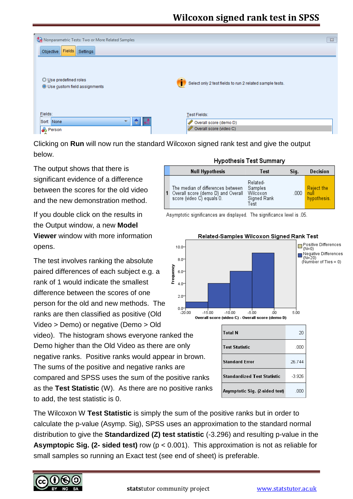

Clicking on **Run** will now run the standard Wilcoxon signed rank test and give the output below.

The output shows that there is significant evidence of a difference between the scores for the old video and the new demonstration method.

If you double click on the results in the Output window, a new **Model Viewer** window with more information opens.

The test involves ranking the absolute 80 Frequency paired differences of each subject e.g. a 6.0 rank of 1 would indicate the smallest  $40$ difference between the scores of one  $2.0$ person for the old and new methods. The  $0.0$ ranks are then classified as positive (Old  $-20.00$ Video > Demo) or negative (Demo > Old video). The histogram shows everyone ranked the Demo higher than the Old Video as there are only negative ranks. Positive ranks would appear in brown. The sums of the positive and negative ranks are compared and SPSS uses the sum of the positive ranks as the **Test Statistic** (W). As there are no positive ranks to add, the test statistic is 0.

#### **Hypothesis Test Summary**

|  | <b>Null Hypothesis</b>                                                                               | Test                                                   | Sig. | Decision                                 |
|--|------------------------------------------------------------------------------------------------------|--------------------------------------------------------|------|------------------------------------------|
|  | The median of differences between<br>Overall score (demo D) and Overall<br>score (video C) equals 0. | Related-<br>Samples<br>Wilcoxon<br>Signed Rank<br>Test | .000 | <b>Reject the</b><br>null<br>hypothesis. |

Asymptotic significances are displayed. The significance level is .05.



| Related-Samples Wilcoxon Signed Rank Test |  |  |
|-------------------------------------------|--|--|
|                                           |  |  |

| <b>Total N</b>                     | 20       |
|------------------------------------|----------|
| <b>Test Statistic</b>              | .000     |
| <b>Standard Error</b>              | 26.744   |
| <b>Standardized Test Statistic</b> | $-3.926$ |
| Asymptotic Sig. (2-sided test)     | -00      |

The Wilcoxon W **Test Statistic** is simply the sum of the positive ranks but in order to calculate the p-value (Asymp. Sig), SPSS uses an approximation to the standard normal distribution to give the **Standardized (Z) test statistic** (-3.296) and resulting p-value in the **Asymptopic Sig. (2- sided test)** row (p < 0.001). This approximation is not as reliable for small samples so running an Exact test (see end of sheet) is preferable.